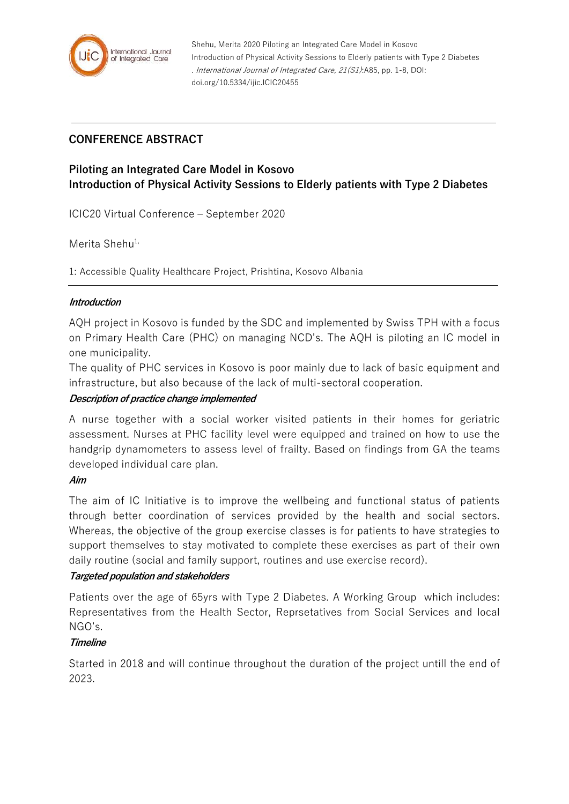

# **CONFERENCE ABSTRACT**

# **Piloting an Integrated Care Model in Kosovo Introduction of Physical Activity Sessions to Elderly patients with Type 2 Diabetes**

ICIC20 Virtual Conference – September 2020

Merita Shehu<sup>1,</sup>

1: Accessible Quality Healthcare Project, Prishtina, Kosovo Albania

## **Introduction**

AQH project in Kosovo is funded by the SDC and implemented by Swiss TPH with a focus on Primary Health Care (PHC) on managing NCD's. The AQH is piloting an IC model in one municipality.

The quality of PHC services in Kosovo is poor mainly due to lack of basic equipment and infrastructure, but also because of the lack of multi-sectoral cooperation.

## **Description of practice change implemented**

A nurse together with a social worker visited patients in their homes for geriatric assessment. Nurses at PHC facility level were equipped and trained on how to use the handgrip dynamometers to assess level of frailty. Based on findings from GA the teams developed individual care plan.

## **Aim**

The aim of IC Initiative is to improve the wellbeing and functional status of patients through better coordination of services provided by the health and social sectors. Whereas, the objective of the group exercise classes is for patients to have strategies to support themselves to stay motivated to complete these exercises as part of their own daily routine (social and family support, routines and use exercise record).

## **Targeted population and stakeholders**

Patients over the age of 65yrs with Type 2 Diabetes. A Working Group which includes: Representatives from the Health Sector, Reprsetatives from Social Services and local NGO's.

## **Timeline**

Started in 2018 and will continue throughout the duration of the project untill the end of 2023.